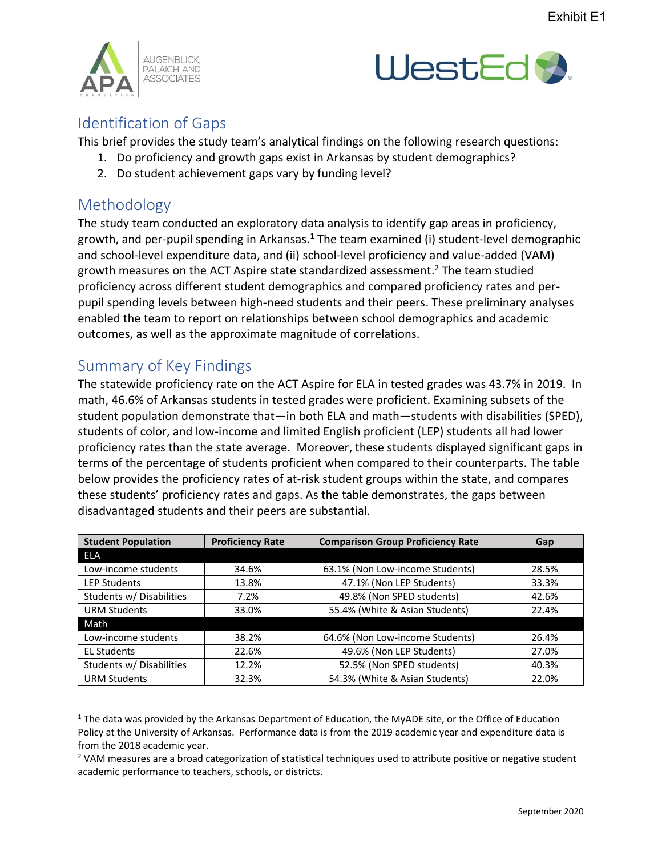



## Identification of Gaps

This brief provides the study team's analytical findings on the following research questions:

- 1. Do proficiency and growth gaps exist in Arkansas by student demographics?
	- 2. Do student achievement gaps vary by funding level?

## Methodology

The study team conducted an exploratory data analysis to identify gap areas in proficiency, growth, and per-pupil spending in Arkansas. <sup>1</sup> The team examined (i) student-level demographic and school-level expenditure data, and (ii) school-level proficiency and value-added (VAM) growth measures on the ACT Aspire state standardized assessment.<sup>2</sup> The team studied proficiency across different student demographics and compared proficiency rates and perpupil spending levels between high-need students and their peers. These preliminary analyses enabled the team to report on relationships between school demographics and academic outcomes, as well as the approximate magnitude of correlations.

## Summary of Key Findings

The statewide proficiency rate on the ACT Aspire for ELA in tested grades was 43.7% in 2019. In math, 46.6% of Arkansas students in tested grades were proficient. Examining subsets of the student population demonstrate that—in both ELA and math—students with disabilities (SPED), students of color, and low-income and limited English proficient (LEP) students all had lower proficiency rates than the state average. Moreover, these students displayed significant gaps in terms of the percentage of students proficient when compared to their counterparts. The table below provides the proficiency rates of at-risk student groups within the state, and compares these students' proficiency rates and gaps. As the table demonstrates, the gaps between disadvantaged students and their peers are substantial.

| <b>Student Population</b> | <b>Proficiency Rate</b> | <b>Comparison Group Proficiency Rate</b> | Gap   |
|---------------------------|-------------------------|------------------------------------------|-------|
| <b>ELA</b>                |                         |                                          |       |
| Low-income students       | 34.6%                   | 63.1% (Non Low-income Students)          | 28.5% |
| <b>LEP Students</b>       | 13.8%                   | 47.1% (Non LEP Students)                 | 33.3% |
| Students w/ Disabilities  | 7.2%                    | 49.8% (Non SPED students)                | 42.6% |
| <b>URM Students</b>       | 33.0%                   | 55.4% (White & Asian Students)           | 22.4% |
| Math                      |                         |                                          |       |
| Low-income students       | 38.2%                   | 64.6% (Non Low-income Students)          | 26.4% |
| <b>EL Students</b>        | 22.6%                   | 49.6% (Non LEP Students)                 | 27.0% |
| Students w/ Disabilities  | 12.2%                   | 52.5% (Non SPED students)                | 40.3% |
| <b>URM Students</b>       | 32.3%                   | 54.3% (White & Asian Students)           | 22.0% |

<sup>&</sup>lt;sup>1</sup> The data was provided by the Arkansas Department of Education, the MyADE site, or the Office of Education Policy at the University of Arkansas. Performance data is from the 2019 academic year and expenditure data is from the 2018 academic year.

<sup>&</sup>lt;sup>2</sup> VAM measures are a broad categorization of statistical techniques used to attribute positive or negative student academic performance to teachers, schools, or districts.